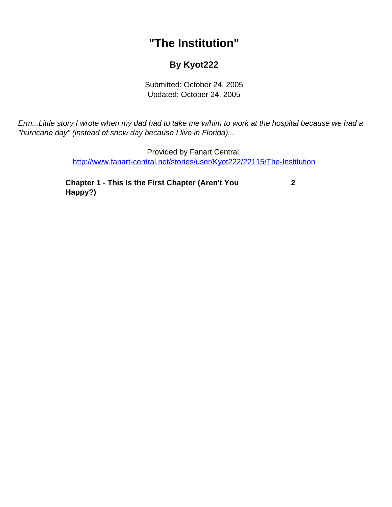## **"The Institution"**

## **By Kyot222**

Submitted: October 24, 2005 Updated: October 24, 2005

<span id="page-0-0"></span>Erm...Little story I wrote when my dad had to take me w/him to work at the hospital because we had a "hurricane day" (instead of snow day because I live in Florida)...

> Provided by Fanart Central. [http://www.fanart-central.net/stories/user/Kyot222/22115/The-Institution](#page-0-0)

**[Chapter 1 - This Is the First Chapter \(Aren't You](#page-1-0) [Happy?\)](#page-1-0)**

 **[2](#page-1-0)**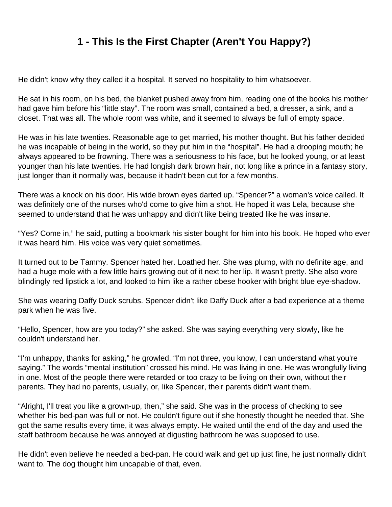## **1 - This Is the First Chapter (Aren't You Happy?)**

<span id="page-1-0"></span>He didn't know why they called it a hospital. It served no hospitality to him whatsoever.

He sat in his room, on his bed, the blanket pushed away from him, reading one of the books his mother had gave him before his "little stay". The room was small, contained a bed, a dresser, a sink, and a closet. That was all. The whole room was white, and it seemed to always be full of empty space.

He was in his late twenties. Reasonable age to get married, his mother thought. But his father decided he was incapable of being in the world, so they put him in the "hospital". He had a drooping mouth; he always appeared to be frowning. There was a seriousness to his face, but he looked young, or at least younger than his late twenties. He had longish dark brown hair, not long like a prince in a fantasy story, just longer than it normally was, because it hadn't been cut for a few months.

There was a knock on his door. His wide brown eyes darted up. "Spencer?" a woman's voice called. It was definitely one of the nurses who'd come to give him a shot. He hoped it was Lela, because she seemed to understand that he was unhappy and didn't like being treated like he was insane.

"Yes? Come in," he said, putting a bookmark his sister bought for him into his book. He hoped who ever it was heard him. His voice was very quiet sometimes.

It turned out to be Tammy. Spencer hated her. Loathed her. She was plump, with no definite age, and had a huge mole with a few little hairs growing out of it next to her lip. It wasn't pretty. She also wore blindingly red lipstick a lot, and looked to him like a rather obese hooker with bright blue eye-shadow.

She was wearing Daffy Duck scrubs. Spencer didn't like Daffy Duck after a bad experience at a theme park when he was five.

"Hello, Spencer, how are you today?" she asked. She was saying everything very slowly, like he couldn't understand her.

"I'm unhappy, thanks for asking," he growled. "I'm not three, you know, I can understand what you're saying." The words "mental institution" crossed his mind. He was living in one. He was wrongfully living in one. Most of the people there were retarded or too crazy to be living on their own, without their parents. They had no parents, usually, or, like Spencer, their parents didn't want them.

"Alright, I'll treat you like a grown-up, then," she said. She was in the process of checking to see whether his bed-pan was full or not. He couldn't figure out if she honestly thought he needed that. She got the same results every time, it was always empty. He waited until the end of the day and used the staff bathroom because he was annoyed at digusting bathroom he was supposed to use.

He didn't even believe he needed a bed-pan. He could walk and get up just fine, he just normally didn't want to. The dog thought him uncapable of that, even.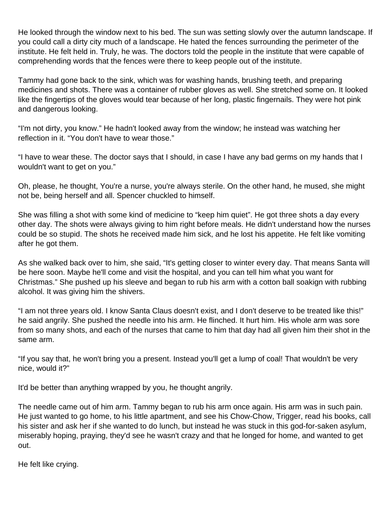He looked through the window next to his bed. The sun was setting slowly over the autumn landscape. If you could call a dirty city much of a landscape. He hated the fences surrounding the perimeter of the institute. He felt held in. Truly, he was. The doctors told the people in the institute that were capable of comprehending words that the fences were there to keep people out of the institute.

Tammy had gone back to the sink, which was for washing hands, brushing teeth, and preparing medicines and shots. There was a container of rubber gloves as well. She stretched some on. It looked like the fingertips of the gloves would tear because of her long, plastic fingernails. They were hot pink and dangerous looking.

"I'm not dirty, you know." He hadn't looked away from the window; he instead was watching her reflection in it. "You don't have to wear those."

"I have to wear these. The doctor says that I should, in case I have any bad germs on my hands that I wouldn't want to get on you."

Oh, please, he thought, You're a nurse, you're always sterile. On the other hand, he mused, she might not be, being herself and all. Spencer chuckled to himself.

She was filling a shot with some kind of medicine to "keep him quiet". He got three shots a day every other day. The shots were always giving to him right before meals. He didn't understand how the nurses could be so stupid. The shots he received made him sick, and he lost his appetite. He felt like vomiting after he got them.

As she walked back over to him, she said, "It's getting closer to winter every day. That means Santa will be here soon. Maybe he'll come and visit the hospital, and you can tell him what you want for Christmas." She pushed up his sleeve and began to rub his arm with a cotton ball soakign with rubbing alcohol. It was giving him the shivers.

"I am not three years old. I know Santa Claus doesn't exist, and I don't deserve to be treated like this!" he said angrily. She pushed the needle into his arm. He flinched. It hurt him. His whole arm was sore from so many shots, and each of the nurses that came to him that day had all given him their shot in the same arm.

"If you say that, he won't bring you a present. Instead you'll get a lump of coal! That wouldn't be very nice, would it?"

It'd be better than anything wrapped by you, he thought angrily.

The needle came out of him arm. Tammy began to rub his arm once again. His arm was in such pain. He just wanted to go home, to his little apartment, and see his Chow-Chow, Trigger, read his books, call his sister and ask her if she wanted to do lunch, but instead he was stuck in this god-for-saken asylum, miserably hoping, praying, they'd see he wasn't crazy and that he longed for home, and wanted to get out.

He felt like crying.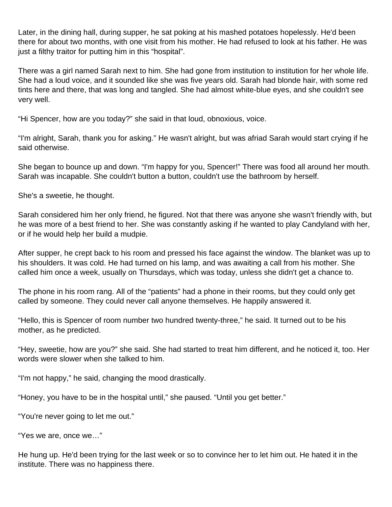Later, in the dining hall, during supper, he sat poking at his mashed potatoes hopelessly. He'd been there for about two months, with one visit from his mother. He had refused to look at his father. He was just a filthy traitor for putting him in this "hospital".

There was a girl named Sarah next to him. She had gone from institution to institution for her whole life. She had a loud voice, and it sounded like she was five years old. Sarah had blonde hair, with some red tints here and there, that was long and tangled. She had almost white-blue eyes, and she couldn't see very well.

"Hi Spencer, how are you today?" she said in that loud, obnoxious, voice.

"I'm alright, Sarah, thank you for asking." He wasn't alright, but was afriad Sarah would start crying if he said otherwise.

She began to bounce up and down. "I'm happy for you, Spencer!" There was food all around her mouth. Sarah was incapable. She couldn't button a button, couldn't use the bathroom by herself.

She's a sweetie, he thought.

Sarah considered him her only friend, he figured. Not that there was anyone she wasn't friendly with, but he was more of a best friend to her. She was constantly asking if he wanted to play Candyland with her, or if he would help her build a mudpie.

After supper, he crept back to his room and pressed his face against the window. The blanket was up to his shoulders. It was cold. He had turned on his lamp, and was awaiting a call from his mother. She called him once a week, usually on Thursdays, which was today, unless she didn't get a chance to.

The phone in his room rang. All of the "patients" had a phone in their rooms, but they could only get called by someone. They could never call anyone themselves. He happily answered it.

"Hello, this is Spencer of room number two hundred twenty-three," he said. It turned out to be his mother, as he predicted.

"Hey, sweetie, how are you?" she said. She had started to treat him different, and he noticed it, too. Her words were slower when she talked to him.

"I'm not happy," he said, changing the mood drastically.

"Honey, you have to be in the hospital until," she paused. "Until you get better."

"You're never going to let me out."

"Yes we are, once we…"

He hung up. He'd been trying for the last week or so to convince her to let him out. He hated it in the institute. There was no happiness there.